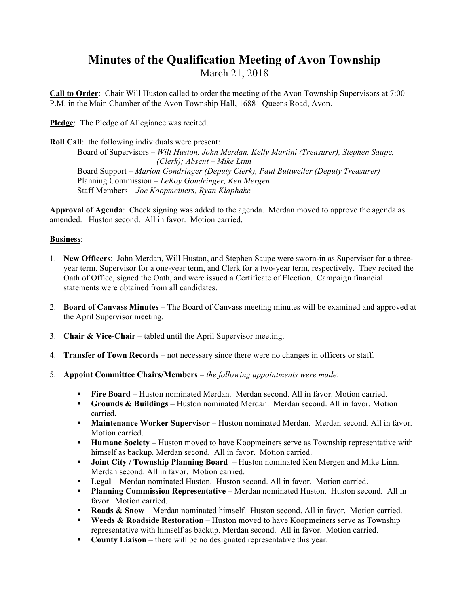### **Minutes of the Qualification Meeting of Avon Township**  March 21, 2018

**Call to Order**: Chair Will Huston called to order the meeting of the Avon Township Supervisors at 7:00 P.M. in the Main Chamber of the Avon Township Hall, 16881 Queens Road, Avon.

**Pledge**: The Pledge of Allegiance was recited.

**Roll Call**: the following individuals were present:

Board of Supervisors *– Will Huston, John Merdan, Kelly Martini (Treasurer), Stephen Saupe, (Clerk); Absent – Mike Linn* Board Support – *Marion Gondringer (Deputy Clerk), Paul Buttweiler (Deputy Treasurer)* Planning Commission *– LeRoy Gondringer, Ken Mergen* Staff Members *– Joe Koopmeiners, Ryan Klaphake*

**Approval of Agenda**: Check signing was added to the agenda. Merdan moved to approve the agenda as amended. Huston second. All in favor. Motion carried.

### **Business**:

- 1. **New Officers**: John Merdan, Will Huston, and Stephen Saupe were sworn-in as Supervisor for a threeyear term, Supervisor for a one-year term, and Clerk for a two-year term, respectively. They recited the Oath of Office, signed the Oath, and were issued a Certificate of Election. Campaign financial statements were obtained from all candidates.
- 2. **Board of Canvass Minutes** The Board of Canvass meeting minutes will be examined and approved at the April Supervisor meeting.
- 3. **Chair & Vice-Chair** tabled until the April Supervisor meeting.
- 4. **Transfer of Town Records** not necessary since there were no changes in officers or staff.
- 5. **Appoint Committee Chairs/Members** *the following appointments were made*:
	- ! **Fire Board** Huston nominated Merdan. Merdan second. All in favor. Motion carried.
	- ! **Grounds & Buildings** Huston nominated Merdan. Merdan second. All in favor. Motion carried**.**
	- **Maintenance Worker Supervisor** Huston nominated Merdan. Merdan second. All in favor. Motion carried.
	- ! **Humane Society**  Huston moved to have Koopmeiners serve as Township representative with himself as backup. Merdan second. All in favor. Motion carried.
	- ! **Joint City / Township Planning Board**  Huston nominated Ken Mergen and Mike Linn. Merdan second. All in favor. Motion carried.
	- ! **Legal** Merdan nominated Huston. Huston second. All in favor. Motion carried.
	- ! **Planning Commission Representative** Merdan nominated Huston. Huston second. All in favor. Motion carried.
	- **Roads & Snow** Merdan nominated himself. Huston second. All in favor. Motion carried.
	- ! **Weeds & Roadside Restoration** Huston moved to have Koopmeiners serve as Township representative with himself as backup. Merdan second. All in favor. Motion carried.
	- **County Liaison** there will be no designated representative this year.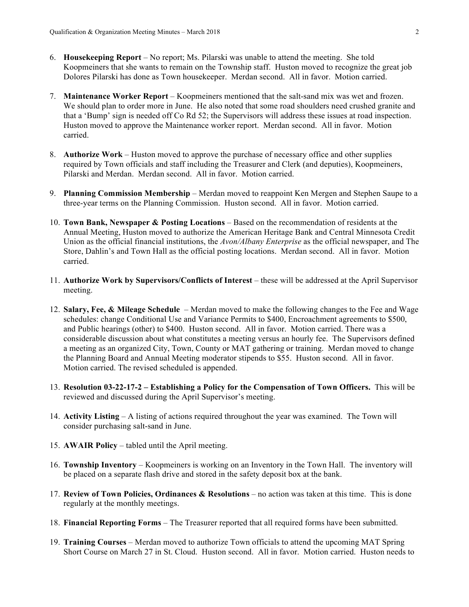- 6. **Housekeeping Report** No report; Ms. Pilarski was unable to attend the meeting. She told Koopmeiners that she wants to remain on the Township staff. Huston moved to recognize the great job Dolores Pilarski has done as Town housekeeper. Merdan second. All in favor. Motion carried.
- 7. **Maintenance Worker Report** Koopmeiners mentioned that the salt-sand mix was wet and frozen. We should plan to order more in June. He also noted that some road shoulders need crushed granite and that a 'Bump' sign is needed off Co Rd 52; the Supervisors will address these issues at road inspection. Huston moved to approve the Maintenance worker report. Merdan second. All in favor. Motion carried.
- 8. **Authorize Work** Huston moved to approve the purchase of necessary office and other supplies required by Town officials and staff including the Treasurer and Clerk (and deputies), Koopmeiners, Pilarski and Merdan. Merdan second. All in favor. Motion carried.
- 9. **Planning Commission Membership** Merdan moved to reappoint Ken Mergen and Stephen Saupe to a three-year terms on the Planning Commission. Huston second. All in favor. Motion carried.
- 10. **Town Bank, Newspaper & Posting Locations** Based on the recommendation of residents at the Annual Meeting, Huston moved to authorize the American Heritage Bank and Central Minnesota Credit Union as the official financial institutions, the *Avon/Albany Enterprise* as the official newspaper, and The Store, Dahlin's and Town Hall as the official posting locations. Merdan second. All in favor. Motion carried.
- 11. **Authorize Work by Supervisors/Conflicts of Interest** these will be addressed at the April Supervisor meeting.
- 12. **Salary, Fee, & Mileage Schedule** Merdan moved to make the following changes to the Fee and Wage schedules: change Conditional Use and Variance Permits to \$400, Encroachment agreements to \$500, and Public hearings (other) to \$400. Huston second. All in favor. Motion carried. There was a considerable discussion about what constitutes a meeting versus an hourly fee. The Supervisors defined a meeting as an organized City, Town, County or MAT gathering or training. Merdan moved to change the Planning Board and Annual Meeting moderator stipends to \$55. Huston second. All in favor. Motion carried. The revised scheduled is appended.
- 13. **Resolution 03-22-17-2 Establishing a Policy for the Compensation of Town Officers.** This will be reviewed and discussed during the April Supervisor's meeting.
- 14. **Activity Listing** A listing of actions required throughout the year was examined. The Town will consider purchasing salt-sand in June.
- 15. **AWAIR Policy**  tabled until the April meeting.
- 16. **Township Inventory**  Koopmeiners is working on an Inventory in the Town Hall. The inventory will be placed on a separate flash drive and stored in the safety deposit box at the bank.
- 17. **Review of Town Policies, Ordinances & Resolutions** no action was taken at this time. This is done regularly at the monthly meetings.
- 18. **Financial Reporting Forms**  The Treasurer reported that all required forms have been submitted.
- 19. **Training Courses**  Merdan moved to authorize Town officials to attend the upcoming MAT Spring Short Course on March 27 in St. Cloud. Huston second. All in favor. Motion carried. Huston needs to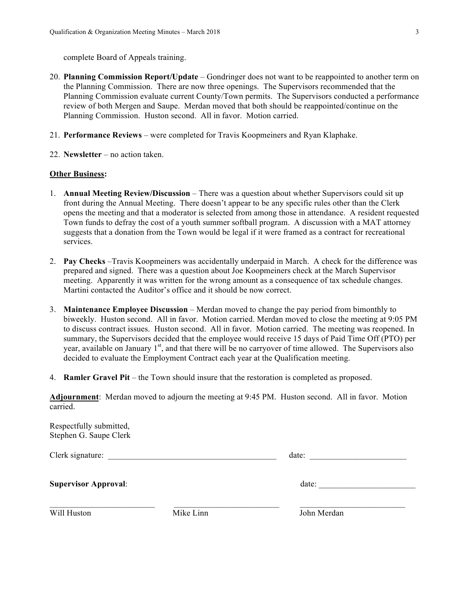complete Board of Appeals training.

- 20. **Planning Commission Report/Update**  Gondringer does not want to be reappointed to another term on the Planning Commission. There are now three openings. The Supervisors recommended that the Planning Commission evaluate current County/Town permits. The Supervisors conducted a performance review of both Mergen and Saupe. Merdan moved that both should be reappointed/continue on the Planning Commission. Huston second. All in favor. Motion carried.
- 21. **Performance Reviews**  were completed for Travis Koopmeiners and Ryan Klaphake.
- 22. **Newsletter** no action taken.

#### **Other Business:**

- 1. **Annual Meeting Review/Discussion** There was a question about whether Supervisors could sit up front during the Annual Meeting. There doesn't appear to be any specific rules other than the Clerk opens the meeting and that a moderator is selected from among those in attendance. A resident requested Town funds to defray the cost of a youth summer softball program. A discussion with a MAT attorney suggests that a donation from the Town would be legal if it were framed as a contract for recreational services.
- 2. **Pay Checks** –Travis Koopmeiners was accidentally underpaid in March. A check for the difference was prepared and signed. There was a question about Joe Koopmeiners check at the March Supervisor meeting. Apparently it was written for the wrong amount as a consequence of tax schedule changes. Martini contacted the Auditor's office and it should be now correct.
- 3. **Maintenance Employee Discussion** Merdan moved to change the pay period from bimonthly to biweekly. Huston second. All in favor. Motion carried. Merdan moved to close the meeting at 9:05 PM to discuss contract issues. Huston second. All in favor. Motion carried. The meeting was reopened. In summary, the Supervisors decided that the employee would receive 15 days of Paid Time Off (PTO) per year, available on January 1<sup>st</sup>, and that there will be no carryover of time allowed. The Supervisors also decided to evaluate the Employment Contract each year at the Qualification meeting.
- 4. **Ramler Gravel Pit**  the Town should insure that the restoration is completed as proposed.

**Adjournment**: Merdan moved to adjourn the meeting at 9:45 PM. Huston second. All in favor. Motion carried.

| Respectfully submitted,<br>Stephen G. Saupe Clerk |           |             |
|---------------------------------------------------|-----------|-------------|
| Clerk signature:                                  |           | date:       |
| <b>Supervisor Approval:</b>                       |           | date:       |
| Will Huston                                       | Mike Linn | John Merdan |